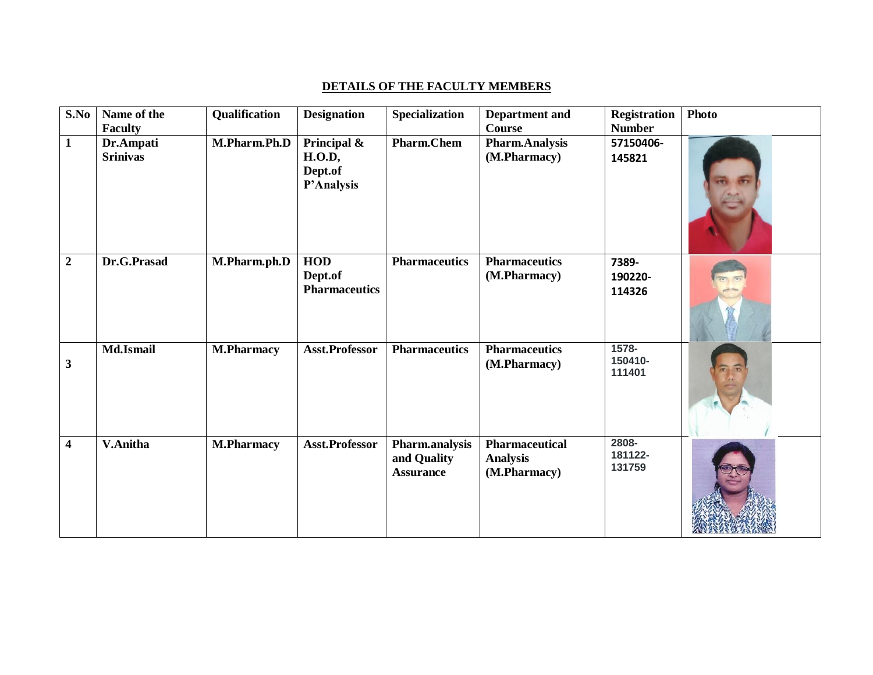## **DETAILS OF THE FACULTY MEMBERS**

| S.No                    | Name of the<br><b>Faculty</b> | Qualification     | <b>Designation</b>                                    | Specialization                                    | Department and<br><b>Course</b>                          | <b>Registration</b><br><b>Number</b> | <b>Photo</b> |
|-------------------------|-------------------------------|-------------------|-------------------------------------------------------|---------------------------------------------------|----------------------------------------------------------|--------------------------------------|--------------|
| $\mathbf{1}$            | Dr.Ampati<br><b>Srinivas</b>  | M.Pharm.Ph.D      | Principal &<br><b>H.O.D,</b><br>Dept.of<br>P'Analysis | <b>Pharm.Chem</b>                                 | <b>Pharm.Analysis</b><br>(M.Pharmacy)                    | 57150406-<br>145821                  |              |
| $\boldsymbol{2}$        | Dr.G.Prasad                   | M.Pharm.ph.D      | <b>HOD</b><br>Dept.of<br><b>Pharmaceutics</b>         | <b>Pharmaceutics</b>                              | <b>Pharmaceutics</b><br>(M.Pharmacy)                     | 7389-<br>190220-<br>114326           |              |
| 3                       | Md.Ismail                     | <b>M.Pharmacy</b> | <b>Asst.Professor</b>                                 | <b>Pharmaceutics</b>                              | <b>Pharmaceutics</b><br>(M.Pharmacy)                     | 1578-<br>150410-<br>111401           |              |
| $\overline{\mathbf{4}}$ | V.Anitha                      | <b>M.Pharmacy</b> | Asst.Professor                                        | Pharm.analysis<br>and Quality<br><b>Assurance</b> | <b>Pharmaceutical</b><br><b>Analysis</b><br>(M.Pharmacy) | 2808-<br>181122-<br>131759           |              |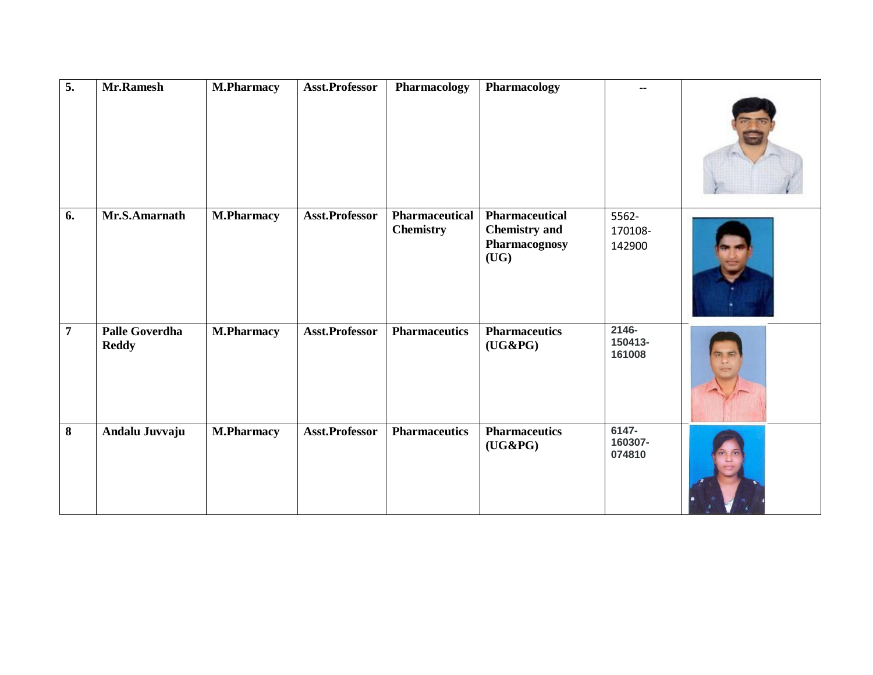| $\overline{5}$ . | Mr.Ramesh                             | <b>M.Pharmacy</b> | Asst.Professor | Pharmacology          | Pharmacology                       |                               |  |
|------------------|---------------------------------------|-------------------|----------------|-----------------------|------------------------------------|-------------------------------|--|
|                  |                                       |                   |                |                       |                                    |                               |  |
| 6.               | Mr.S.Amarnath                         | <b>M.Pharmacy</b> | Asst.Professor | <b>Pharmaceutical</b> | <b>Pharmaceutical</b>              | 5562-                         |  |
|                  |                                       |                   |                | <b>Chemistry</b>      | <b>Chemistry</b> and               | 170108-                       |  |
|                  |                                       |                   |                |                       | Pharmacognosy<br>(UG)              | 142900                        |  |
| $\overline{7}$   | <b>Palle Goverdha</b><br><b>Reddy</b> | <b>M.Pharmacy</b> | Asst.Professor | <b>Pharmaceutics</b>  | <b>Pharmaceutics</b><br>$(UG\&PG)$ | $2146 -$<br>150413-<br>161008 |  |
| 8                | Andalu Juvvaju                        | <b>M.Pharmacy</b> | Asst.Professor | <b>Pharmaceutics</b>  | <b>Pharmaceutics</b><br>$(UG\&PG)$ | $6147 -$<br>160307-<br>074810 |  |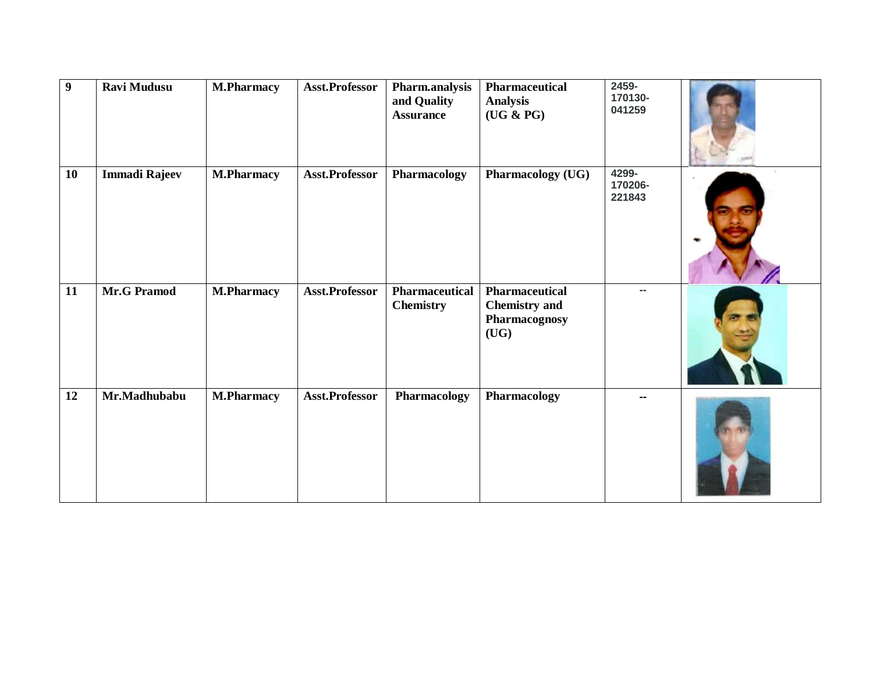| $\boldsymbol{9}$ | <b>Ravi Mudusu</b>   | <b>M.Pharmacy</b> | Asst.Professor | Pharm.analysis<br>and Quality<br><b>Assurance</b> | Pharmaceutical<br><b>Analysis</b><br>(UG & PG)                  | 2459-<br>170130-<br>041259 |  |
|------------------|----------------------|-------------------|----------------|---------------------------------------------------|-----------------------------------------------------------------|----------------------------|--|
| 10               | <b>Immadi Rajeev</b> | <b>M.Pharmacy</b> | Asst.Professor | Pharmacology                                      | <b>Pharmacology (UG)</b>                                        | 4299-<br>170206-<br>221843 |  |
| 11               | <b>Mr.G Pramod</b>   | <b>M.Pharmacy</b> | Asst.Professor | <b>Pharmaceutical</b><br><b>Chemistry</b>         | Pharmaceutical<br><b>Chemistry and</b><br>Pharmacognosy<br>(UG) | ш.                         |  |
| 12               | Mr.Madhubabu         | <b>M.Pharmacy</b> | Asst.Professor | <b>Pharmacology</b>                               | Pharmacology                                                    | --                         |  |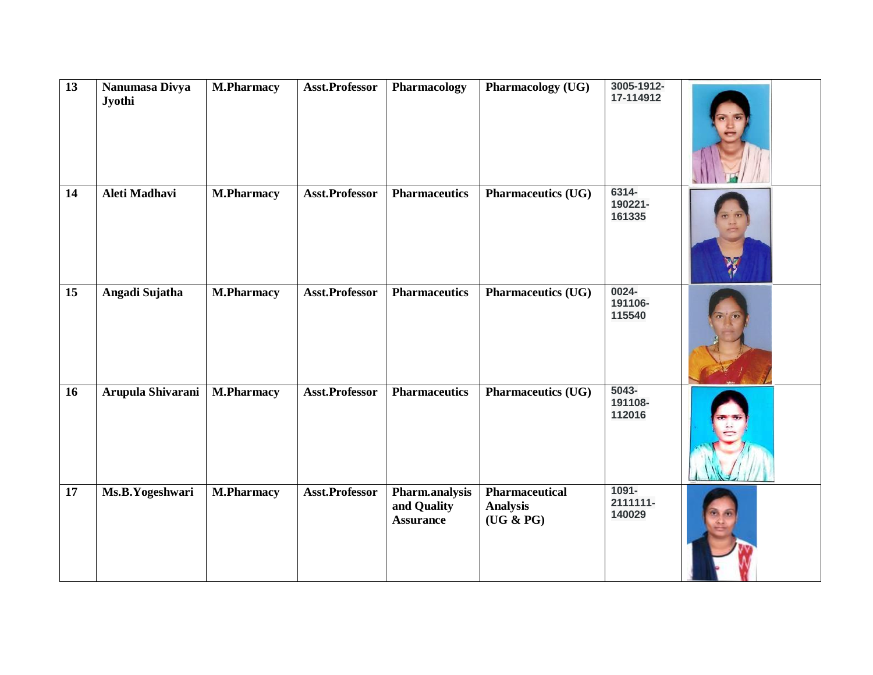| 13 | Nanumasa Divya<br>Jyothi | <b>M.Pharmacy</b> | Asst.Professor        | Pharmacology                                      | <b>Pharmacology (UG)</b>                              | 3005-1912-<br>17-114912     |  |
|----|--------------------------|-------------------|-----------------------|---------------------------------------------------|-------------------------------------------------------|-----------------------------|--|
| 14 | Aleti Madhavi            | <b>M.Pharmacy</b> | Asst.Professor        | <b>Pharmaceutics</b>                              | <b>Pharmaceutics (UG)</b>                             | 6314-<br>190221-<br>161335  |  |
| 15 | Angadi Sujatha           | <b>M.Pharmacy</b> | <b>Asst.Professor</b> | <b>Pharmaceutics</b>                              | <b>Pharmaceutics (UG)</b>                             | 0024-<br>191106-<br>115540  |  |
| 16 | Arupula Shivarani        | <b>M.Pharmacy</b> | Asst.Professor        | <b>Pharmaceutics</b>                              | <b>Pharmaceutics (UG)</b>                             | 5043-<br>191108-<br>112016  |  |
| 17 | Ms.B.Yogeshwari          | <b>M.Pharmacy</b> | <b>Asst.Professor</b> | Pharm.analysis<br>and Quality<br><b>Assurance</b> | <b>Pharmaceutical</b><br><b>Analysis</b><br>(UG & PG) | 1091-<br>2111111-<br>140029 |  |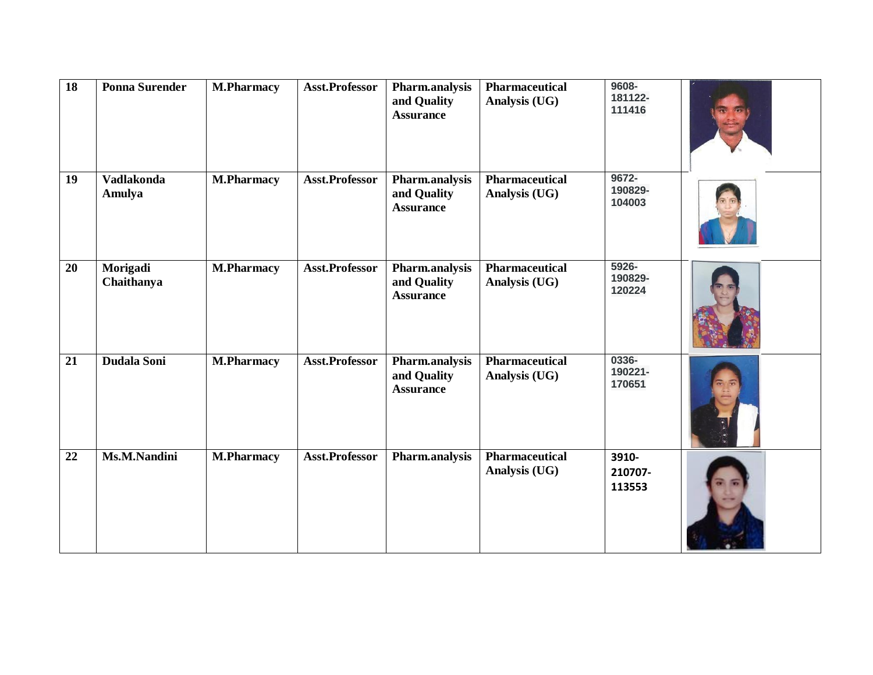| <b>18</b> | <b>Ponna Surender</b>       | <b>M.Pharmacy</b> | Asst.Professor        | Pharm.analysis<br>and Quality<br><b>Assurance</b> | <b>Pharmaceutical</b><br>Analysis (UG) | 9608-<br>181122-<br>111416 |  |
|-----------|-----------------------------|-------------------|-----------------------|---------------------------------------------------|----------------------------------------|----------------------------|--|
| 19        | <b>Vadlakonda</b><br>Amulya | <b>M.Pharmacy</b> | <b>Asst.Professor</b> | Pharm.analysis<br>and Quality<br><b>Assurance</b> | <b>Pharmaceutical</b><br>Analysis (UG) | 9672-<br>190829-<br>104003 |  |
| 20        | Morigadi<br>Chaithanya      | <b>M.Pharmacy</b> | <b>Asst.Professor</b> | Pharm.analysis<br>and Quality<br><b>Assurance</b> | <b>Pharmaceutical</b><br>Analysis (UG) | 5926-<br>190829-<br>120224 |  |
| 21        | Dudala Soni                 | <b>M.Pharmacy</b> | Asst.Professor        | Pharm.analysis<br>and Quality<br><b>Assurance</b> | <b>Pharmaceutical</b><br>Analysis (UG) | 0336-<br>190221-<br>170651 |  |
| 22        | Ms.M.Nandini                | <b>M.Pharmacy</b> | Asst.Professor        | Pharm.analysis                                    | <b>Pharmaceutical</b><br>Analysis (UG) | 3910-<br>210707-<br>113553 |  |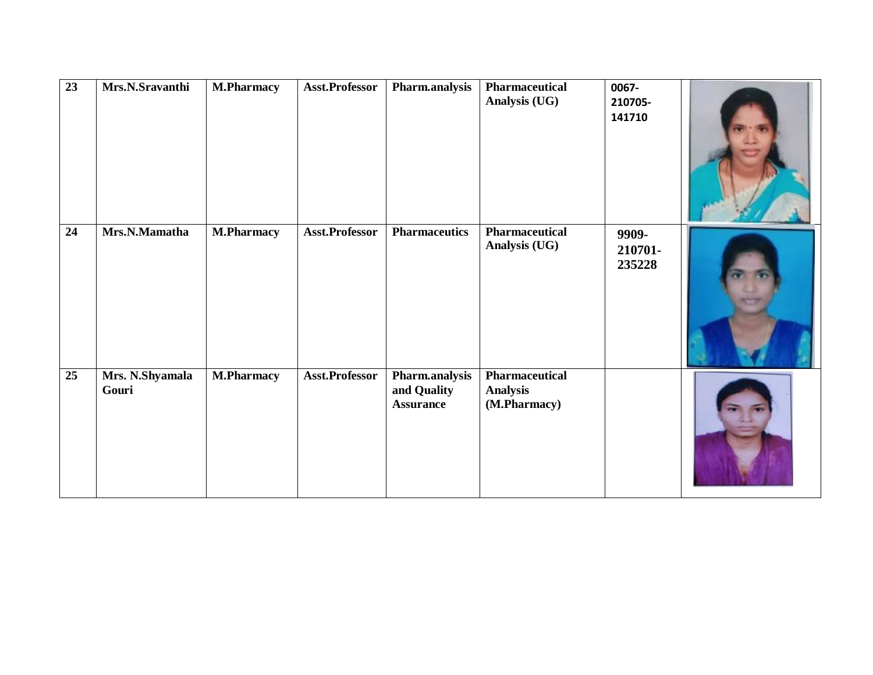| 23 | Mrs.N.Sravanthi          | <b>M.Pharmacy</b> | Asst.Professor | Pharm.analysis                                    | Pharmaceutical<br>Analysis (UG)                   | 0067-<br>210705-<br>141710 |  |
|----|--------------------------|-------------------|----------------|---------------------------------------------------|---------------------------------------------------|----------------------------|--|
| 24 | Mrs.N.Mamatha            | <b>M.Pharmacy</b> | Asst.Professor | <b>Pharmaceutics</b>                              | <b>Pharmaceutical</b><br>Analysis (UG)            | 9909-<br>210701-<br>235228 |  |
| 25 | Mrs. N.Shyamala<br>Gouri | <b>M.Pharmacy</b> | Asst.Professor | Pharm.analysis<br>and Quality<br><b>Assurance</b> | Pharmaceutical<br><b>Analysis</b><br>(M.Pharmacy) |                            |  |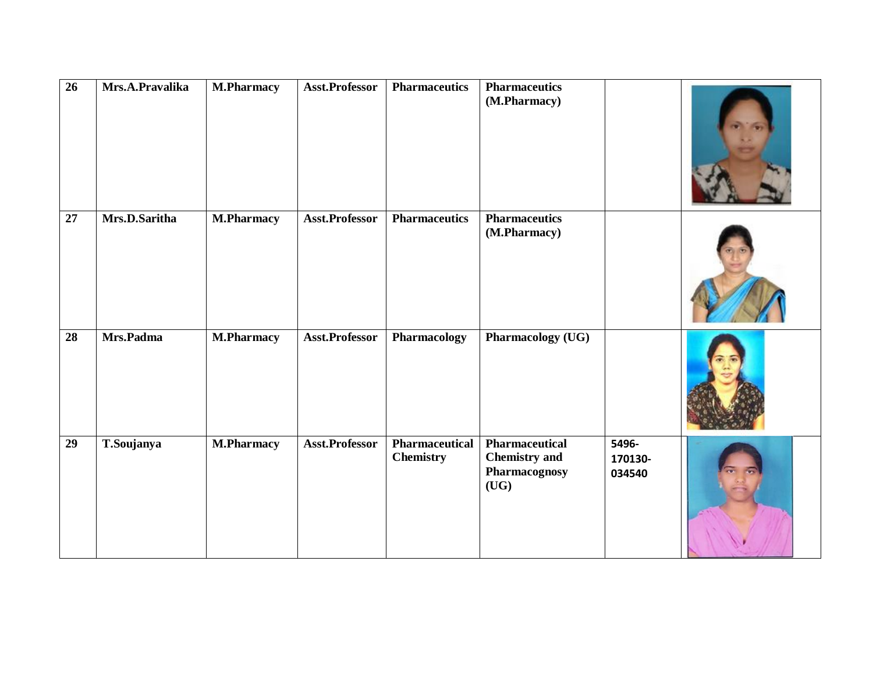| $\overline{26}$ | Mrs.A.Pravalika | <b>M.Pharmacy</b> | Asst.Professor        | <b>Pharmaceutics</b>                      | <b>Pharmaceutics</b><br>(M.Pharmacy)                            |                            |  |
|-----------------|-----------------|-------------------|-----------------------|-------------------------------------------|-----------------------------------------------------------------|----------------------------|--|
| $\overline{27}$ | Mrs.D.Saritha   | <b>M.Pharmacy</b> | <b>Asst.Professor</b> | <b>Pharmaceutics</b>                      | <b>Pharmaceutics</b><br>(M.Pharmacy)                            |                            |  |
| $\overline{28}$ | Mrs.Padma       | <b>M.Pharmacy</b> | Asst.Professor        | Pharmacology                              | <b>Pharmacology (UG)</b>                                        |                            |  |
| $\overline{29}$ | T.Soujanya      | <b>M.Pharmacy</b> | Asst.Professor        | <b>Pharmaceutical</b><br><b>Chemistry</b> | Pharmaceutical<br><b>Chemistry</b> and<br>Pharmacognosy<br>(UG) | 5496-<br>170130-<br>034540 |  |